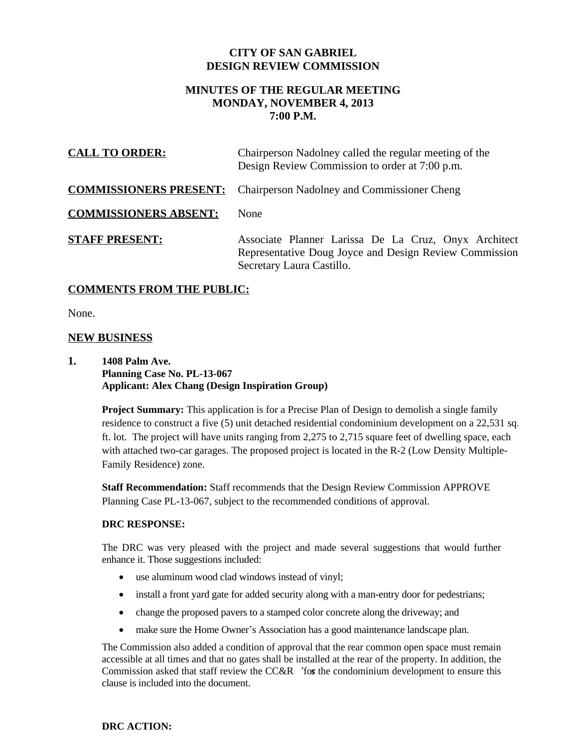## **CITY OF SAN GABRIEL DESIGN REVIEW COMMISSION**

# **MINUTES OF THE REGULAR MEETING MONDAY, NOVEMBER 4, 2013 7:00 P.M.**

| <b>CALL TO ORDER:</b>        | Chairperson Nadolney called the regular meeting of the<br>Design Review Commission to order at 7:00 p.m.                                    |
|------------------------------|---------------------------------------------------------------------------------------------------------------------------------------------|
|                              | <b>COMMISSIONERS PRESENT:</b> Chairperson Nadolney and Commissioner Cheng                                                                   |
| <b>COMMISSIONERS ABSENT:</b> | None                                                                                                                                        |
| <b>STAFF PRESENT:</b>        | Associate Planner Larissa De La Cruz, Onyx Architect<br>Representative Doug Joyce and Design Review Commission<br>Secretary Laura Castillo. |

## **COMMENTS FROM THE PUBLIC:**

None.

## **NEW BUSINESS**

### **1. 1408 Palm Ave. Planning Case No. PL-13-067 Applicant: Alex Chang (Design Inspiration Group)**

**Project Summary:** This application is for a Precise Plan of Design to demolish a single family residence to construct a five (5) unit detached residential condominium development on a 22,531 sq. ft. lot. The project will have units ranging from 2,275 to 2,715 square feet of dwelling space, each with attached two-car garages. The proposed project is located in the R-2 (Low Density Multiple-Family Residence) zone.

**Staff Recommendation:** Staff recommends that the Design Review Commission APPROVE Planning Case PL-13-067, subject to the recommended conditions of approval.

### **DRC RESPONSE:**

The DRC was very pleased with the project and made several suggestions that would further enhance it. Those suggestions included:

- use aluminum wood clad windows instead of vinyl;
- install a front yard gate for added security along with a man-entry door for pedestrians;
- change the proposed pavers to a stamped color concrete along the driveway; and
- make sure the Home Owner's Association has a good maintenance landscape plan.

The Commission also added a condition of approval that the rear common open space must remain accessible at all times and that no gates shall be installed at the rear of the property. In addition, the Commission asked that staff review the CC&R 'for the condominium development to ensure this clause is included into the document.